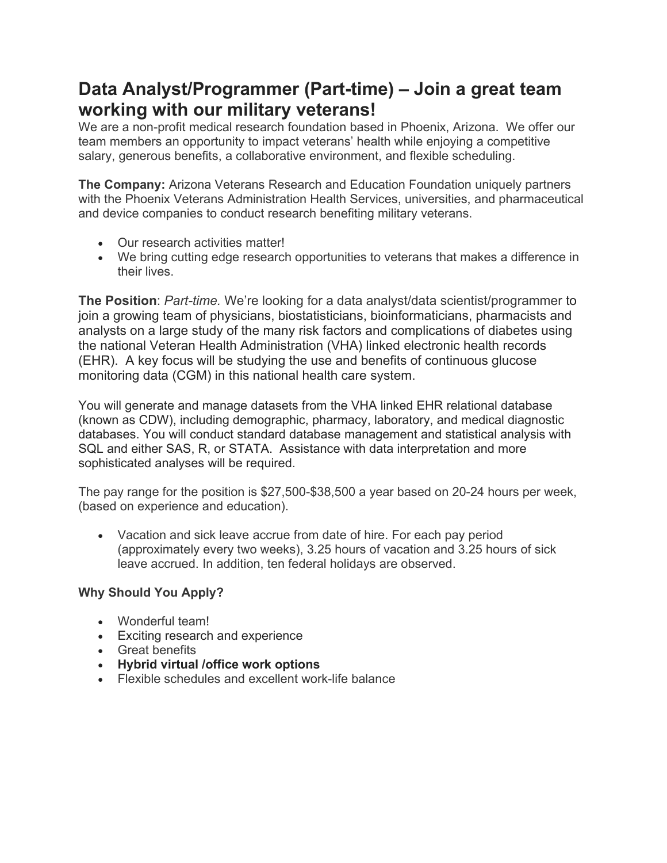## **Data Analyst/Programmer (Part-time) – Join a great team working with our military veterans!**

We are a non-profit medical research foundation based in Phoenix, Arizona. We offer our team members an opportunity to impact veterans' health while enjoying a competitive salary, generous benefits, a collaborative environment, and flexible scheduling.

**The Company:** Arizona Veterans Research and Education Foundation uniquely partners with the Phoenix Veterans Administration Health Services, universities, and pharmaceutical and device companies to conduct research benefiting military veterans.

- Our research activities matter!
- We bring cutting edge research opportunities to veterans that makes a difference in their lives.

**The Position**: *Part-time.* We're looking for a data analyst/data scientist/programmer to join a growing team of physicians, biostatisticians, bioinformaticians, pharmacists and analysts on a large study of the many risk factors and complications of diabetes using the national Veteran Health Administration (VHA) linked electronic health records (EHR). A key focus will be studying the use and benefits of continuous glucose monitoring data (CGM) in this national health care system.

You will generate and manage datasets from the VHA linked EHR relational database (known as CDW), including demographic, pharmacy, laboratory, and medical diagnostic databases. You will conduct standard database management and statistical analysis with SQL and either SAS, R, or STATA. Assistance with data interpretation and more sophisticated analyses will be required.

The pay range for the position is \$27,500-\$38,500 a year based on 20-24 hours per week, (based on experience and education).

• Vacation and sick leave accrue from date of hire. For each pay period (approximately every two weeks), 3.25 hours of vacation and 3.25 hours of sick leave accrued. In addition, ten federal holidays are observed.

## **Why Should You Apply?**

- Wonderful team!
- Exciting research and experience
- Great benefits
- **Hybrid virtual /office work options**
- Flexible schedules and excellent work-life balance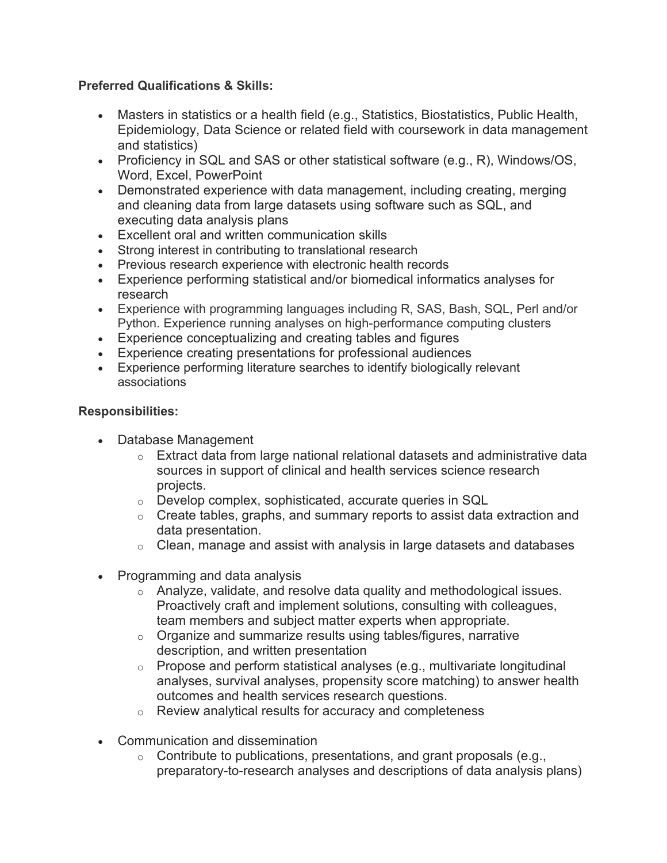## **Preferred Qualifications & Skills:**

- Masters in statistics or a health field (e.g., Statistics, Biostatistics, Public Health, Epidemiology, Data Science or related field with coursework in data management and statistics)
- Proficiency in SQL and SAS or other statistical software (e.g., R), Windows/OS, Word, Excel, PowerPoint
- Demonstrated experience with data management, including creating, merging and cleaning data from large datasets using software such as SQL, and executing data analysis plans
- Excellent oral and written communication skills
- Strong interest in contributing to translational research
- Previous research experience with electronic health records
- Experience performing statistical and/or biomedical informatics analyses for research
- Experience with programming languages including R, SAS, Bash, SQL, Perl and/or Python. Experience running analyses on high-performance computing clusters
- Experience conceptualizing and creating tables and figures
- Experience creating presentations for professional audiences
- Experience performing literature searches to identify biologically relevant associations

## **Responsibilities:**

- Database Management
	- $\circ$  Extract data from large national relational datasets and administrative data sources in support of clinical and health services science research projects.
	- o Develop complex, sophisticated, accurate queries in SQL
	- $\circ$  Create tables, graphs, and summary reports to assist data extraction and data presentation.
	- $\circ$  Clean, manage and assist with analysis in large datasets and databases
- Programming and data analysis
	- o Analyze, validate, and resolve data quality and methodological issues. Proactively craft and implement solutions, consulting with colleagues, team members and subject matter experts when appropriate.
	- $\circ$  Organize and summarize results using tables/figures, narrative description, and written presentation
	- $\circ$  Propose and perform statistical analyses (e.g., multivariate longitudinal analyses, survival analyses, propensity score matching) to answer health outcomes and health services research questions.
	- o Review analytical results for accuracy and completeness
- Communication and dissemination
	- $\circ$  Contribute to publications, presentations, and grant proposals (e.g., preparatory-to-research analyses and descriptions of data analysis plans)